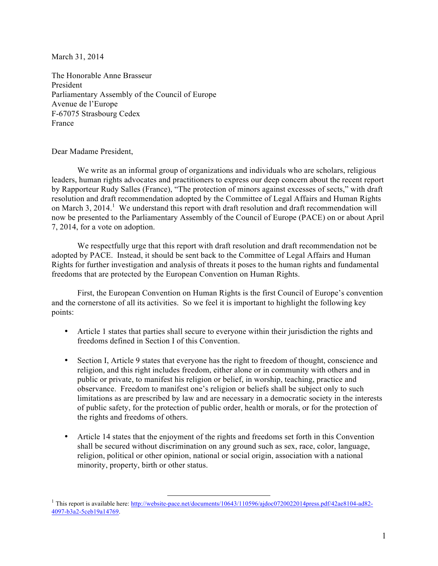March 31, 2014

The Honorable Anne Brasseur President Parliamentary Assembly of the Council of Europe Avenue de l'Europe F-67075 Strasbourg Cedex France

Dear Madame President,

We write as an informal group of organizations and individuals who are scholars, religious leaders, human rights advocates and practitioners to express our deep concern about the recent report by Rapporteur Rudy Salles (France), "The protection of minors against excesses of sects," with draft resolution and draft recommendation adopted by the Committee of Legal Affairs and Human Rights on March 3, 2014.<sup>1</sup> We understand this report with draft resolution and draft recommendation will now be presented to the Parliamentary Assembly of the Council of Europe (PACE) on or about April 7, 2014, for a vote on adoption.

We respectfully urge that this report with draft resolution and draft recommendation not be adopted by PACE. Instead, it should be sent back to the Committee of Legal Affairs and Human Rights for further investigation and analysis of threats it poses to the human rights and fundamental freedoms that are protected by the European Convention on Human Rights.

First, the European Convention on Human Rights is the first Council of Europe's convention and the cornerstone of all its activities. So we feel it is important to highlight the following key points:

- Article 1 states that parties shall secure to everyone within their jurisdiction the rights and freedoms defined in Section I of this Convention.
- Section I, Article 9 states that everyone has the right to freedom of thought, conscience and religion, and this right includes freedom, either alone or in community with others and in public or private, to manifest his religion or belief, in worship, teaching, practice and observance. Freedom to manifest one's religion or beliefs shall be subject only to such limitations as are prescribed by law and are necessary in a democratic society in the interests of public safety, for the protection of public order, health or morals, or for the protection of the rights and freedoms of others.
- Article 14 states that the enjoyment of the rights and freedoms set forth in this Convention shall be secured without discrimination on any ground such as sex, race, color, language, religion, political or other opinion, national or social origin, association with a national minority, property, birth or other status.

<sup>&</sup>lt;sup>1</sup> This report is available here: http://website-pace.net/documents/10643/110596/ajdoc0720022014press.pdf/42ae8104-ad82-4097-b3a2-5ceb19a14769.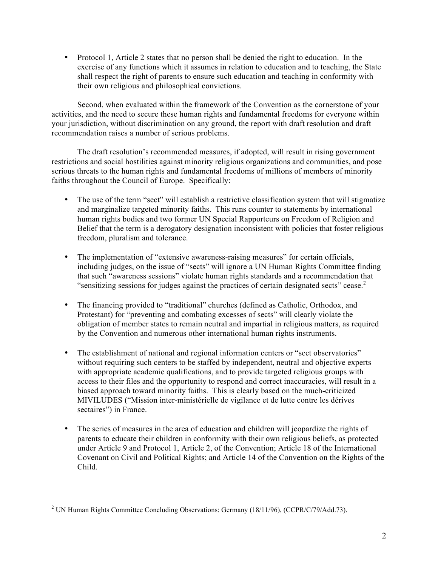• Protocol 1, Article 2 states that no person shall be denied the right to education. In the exercise of any functions which it assumes in relation to education and to teaching, the State shall respect the right of parents to ensure such education and teaching in conformity with their own religious and philosophical convictions.

Second, when evaluated within the framework of the Convention as the cornerstone of your activities, and the need to secure these human rights and fundamental freedoms for everyone within your jurisdiction, without discrimination on any ground, the report with draft resolution and draft recommendation raises a number of serious problems.

The draft resolution's recommended measures, if adopted, will result in rising government restrictions and social hostilities against minority religious organizations and communities, and pose serious threats to the human rights and fundamental freedoms of millions of members of minority faiths throughout the Council of Europe. Specifically:

- The use of the term "sect" will establish a restrictive classification system that will stigmatize and marginalize targeted minority faiths. This runs counter to statements by international human rights bodies and two former UN Special Rapporteurs on Freedom of Religion and Belief that the term is a derogatory designation inconsistent with policies that foster religious freedom, pluralism and tolerance.
- The implementation of "extensive awareness-raising measures" for certain officials, including judges, on the issue of "sects" will ignore a UN Human Rights Committee finding that such "awareness sessions" violate human rights standards and a recommendation that "sensitizing sessions for judges against the practices of certain designated sects" cease. $2$
- The financing provided to "traditional" churches (defined as Catholic, Orthodox, and Protestant) for "preventing and combating excesses of sects" will clearly violate the obligation of member states to remain neutral and impartial in religious matters, as required by the Convention and numerous other international human rights instruments.
- The establishment of national and regional information centers or "sect observatories" without requiring such centers to be staffed by independent, neutral and objective experts with appropriate academic qualifications, and to provide targeted religious groups with access to their files and the opportunity to respond and correct inaccuracies, will result in a biased approach toward minority faiths. This is clearly based on the much-criticized MIVILUDES ("Mission inter-ministérielle de vigilance et de lutte contre les dérives sectaires") in France.
- The series of measures in the area of education and children will jeopardize the rights of parents to educate their children in conformity with their own religious beliefs, as protected under Article 9 and Protocol 1, Article 2, of the Convention; Article 18 of the International Covenant on Civil and Political Rights; and Article 14 of the Convention on the Rights of the Child.

 

<sup>&</sup>lt;sup>2</sup> UN Human Rights Committee Concluding Observations: Germany (18/11/96), (CCPR/C/79/Add.73).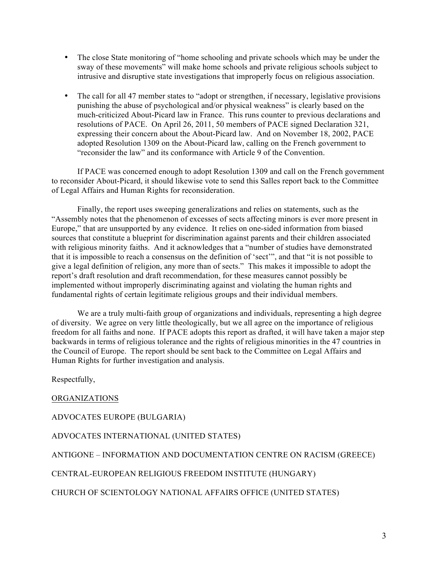- The close State monitoring of "home schooling and private schools which may be under the sway of these movements" will make home schools and private religious schools subject to intrusive and disruptive state investigations that improperly focus on religious association.
- The call for all 47 member states to "adopt or strengthen, if necessary, legislative provisions punishing the abuse of psychological and/or physical weakness" is clearly based on the much-criticized About-Picard law in France. This runs counter to previous declarations and resolutions of PACE. On April 26, 2011, 50 members of PACE signed Declaration 321, expressing their concern about the About-Picard law. And on November 18, 2002, PACE adopted Resolution 1309 on the About-Picard law, calling on the French government to "reconsider the law" and its conformance with Article 9 of the Convention.

If PACE was concerned enough to adopt Resolution 1309 and call on the French government to reconsider About-Picard, it should likewise vote to send this Salles report back to the Committee of Legal Affairs and Human Rights for reconsideration.

Finally, the report uses sweeping generalizations and relies on statements, such as the "Assembly notes that the phenomenon of excesses of sects affecting minors is ever more present in Europe," that are unsupported by any evidence. It relies on one-sided information from biased sources that constitute a blueprint for discrimination against parents and their children associated with religious minority faiths. And it acknowledges that a "number of studies have demonstrated that it is impossible to reach a consensus on the definition of 'sect'", and that "it is not possible to give a legal definition of religion, any more than of sects." This makes it impossible to adopt the report's draft resolution and draft recommendation, for these measures cannot possibly be implemented without improperly discriminating against and violating the human rights and fundamental rights of certain legitimate religious groups and their individual members.

We are a truly multi-faith group of organizations and individuals, representing a high degree of diversity. We agree on very little theologically, but we all agree on the importance of religious freedom for all faiths and none. If PACE adopts this report as drafted, it will have taken a major step backwards in terms of religious tolerance and the rights of religious minorities in the 47 countries in the Council of Europe. The report should be sent back to the Committee on Legal Affairs and Human Rights for further investigation and analysis.

Respectfully,

ORGANIZATIONS

ADVOCATES EUROPE (BULGARIA)

ADVOCATES INTERNATIONAL (UNITED STATES)

ANTIGONE – INFORMATION AND DOCUMENTATION CENTRE ON RACISM (GREECE)

CENTRAL-EUROPEAN RELIGIOUS FREEDOM INSTITUTE (HUNGARY)

CHURCH OF SCIENTOLOGY NATIONAL AFFAIRS OFFICE (UNITED STATES)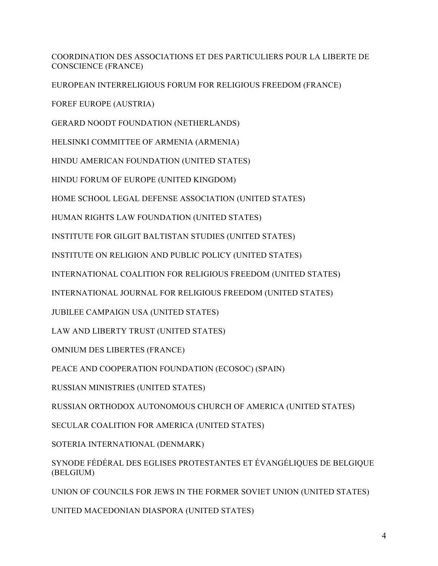COORDINATION DES ASSOCIATIONS ET DES PARTICULIERS POUR LA LIBERTE DE CONSCIENCE (FRANCE)

EUROPEAN INTERRELIGIOUS FORUM FOR RELIGIOUS FREEDOM (FRANCE)

FOREF EUROPE (AUSTRIA)

GERARD NOODT FOUNDATION (NETHERLANDS)

HELSINKI COMMITTEE OF ARMENIA (ARMENIA)

HINDU AMERICAN FOUNDATION (UNITED STATES)

HINDU FORUM OF EUROPE (UNITED KINGDOM)

HOME SCHOOL LEGAL DEFENSE ASSOCIATION (UNITED STATES)

HUMAN RIGHTS LAW FOUNDATION (UNITED STATES)

INSTITUTE FOR GILGIT BALTISTAN STUDIES (UNITED STATES)

INSTITUTE ON RELIGION AND PUBLIC POLICY (UNITED STATES)

INTERNATIONAL COALITION FOR RELIGIOUS FREEDOM (UNITED STATES)

INTERNATIONAL JOURNAL FOR RELIGIOUS FREEDOM (UNITED STATES)

JUBILEE CAMPAIGN USA (UNITED STATES)

LAW AND LIBERTY TRUST (UNITED STATES)

OMNIUM DES LIBERTES (FRANCE)

PEACE AND COOPERATION FOUNDATION (ECOSOC) (SPAIN)

RUSSIAN MINISTRIES (UNITED STATES)

RUSSIAN ORTHODOX AUTONOMOUS CHURCH OF AMERICA (UNITED STATES)

SECULAR COALITION FOR AMERICA (UNITED STATES)

SOTERIA INTERNATIONAL (DENMARK)

SYNODE FÉDÉRAL DES EGLISES PROTESTANTES ET ÉVANGÉLIQUES DE BELGIQUE (BELGIUM)

UNION OF COUNCILS FOR JEWS IN THE FORMER SOVIET UNION (UNITED STATES)

UNITED MACEDONIAN DIASPORA (UNITED STATES)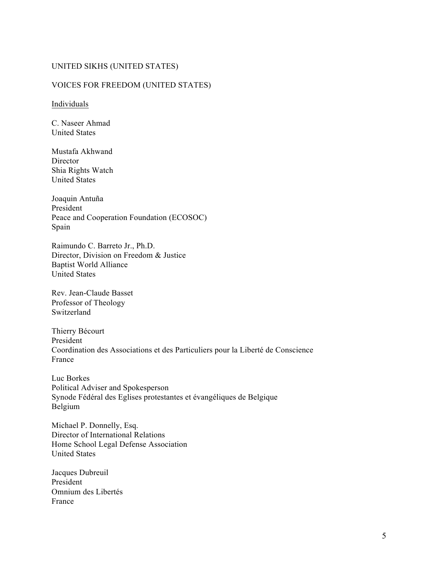## UNITED SIKHS (UNITED STATES)

## VOICES FOR FREEDOM (UNITED STATES)

Individuals

C. Naseer Ahmad United States

Mustafa Akhwand **Director** Shia Rights Watch United States

Joaquin Antuña President Peace and Cooperation Foundation (ECOSOC) Spain

Raimundo C. Barreto Jr., Ph.D. Director, Division on Freedom & Justice Baptist World Alliance United States

Rev. Jean-Claude Basset Professor of Theology Switzerland

Thierry Bécourt President Coordination des Associations et des Particuliers pour la Liberté de Conscience France

Luc Borkes Political Adviser and Spokesperson Synode Fédéral des Eglises protestantes et évangéliques de Belgique Belgium

Michael P. Donnelly, Esq. Director of International Relations Home School Legal Defense Association United States

Jacques Dubreuil President Omnium des Libertés France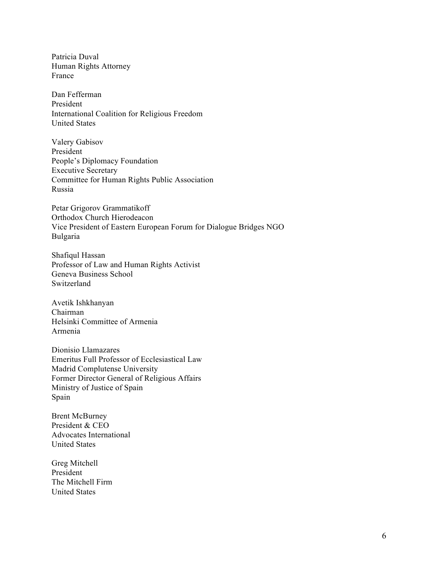Patricia Duval Human Rights Attorney France

Dan Fefferman President International Coalition for Religious Freedom United States

Valery Gabisov President People's Diplomacy Foundation Executive Secretary Committee for Human Rights Public Association Russia

Petar Grigorov Grammatikoff Orthodox Church Hierodeacon Vice President of Eastern European Forum for Dialogue Bridges NGO Bulgaria

Shafiqul Hassan Professor of Law and Human Rights Activist Geneva Business School Switzerland

Avetik Ishkhanyan Chairman Helsinki Committee of Armenia Armenia

Dionisio Llamazares Emeritus Full Professor of Ecclesiastical Law Madrid Complutense University Former Director General of Religious Affairs Ministry of Justice of Spain Spain

Brent McBurney President & CEO Advocates International United States

Greg Mitchell President The Mitchell Firm United States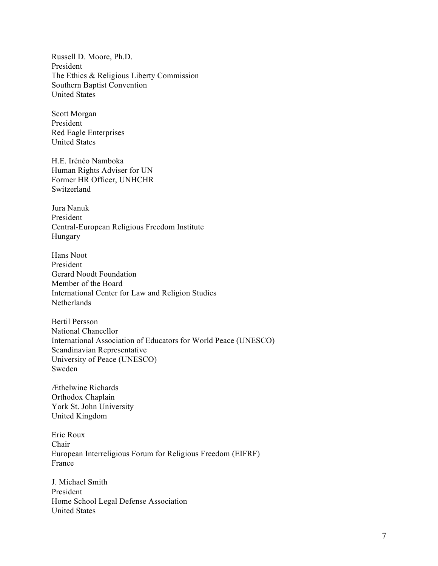Russell D. Moore, Ph.D. President The Ethics & Religious Liberty Commission Southern Baptist Convention United States

Scott Morgan President Red Eagle Enterprises United States

H.E. Irénéo Namboka Human Rights Adviser for UN Former HR Officer, UNHCHR Switzerland

Jura Nanuk President Central-European Religious Freedom Institute Hungary

Hans Noot President Gerard Noodt Foundation Member of the Board International Center for Law and Religion Studies Netherlands

Bertil Persson National Chancellor International Association of Educators for World Peace (UNESCO) Scandinavian Representative University of Peace (UNESCO) Sweden

Æthelwine Richards Orthodox Chaplain York St. John University United Kingdom

Eric Roux Chair European Interreligious Forum for Religious Freedom (EIFRF) France

J. Michael Smith President Home School Legal Defense Association United States